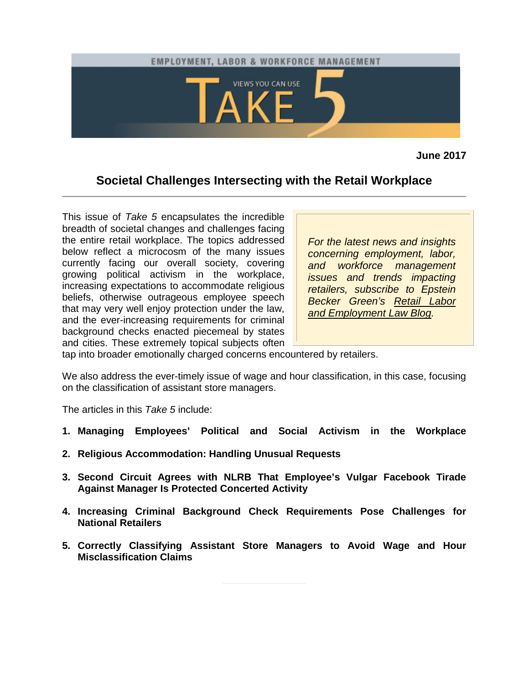<span id="page-0-0"></span>

**June 2017**

# **Societal Challenges Intersecting with the Retail Workplace**

This issue of *Take 5* encapsulates the incredible breadth of societal changes and challenges facing the entire retail workplace. The topics addressed below reflect a microcosm of the many issues currently facing our overall society, covering growing political activism in the workplace, increasing expectations to accommodate religious beliefs, otherwise outrageous employee speech that may very well enjoy protection under the law, and the ever-increasing requirements for criminal background checks enacted piecemeal by states and cities. These extremely topical subjects often

*For the latest news and insights concerning employment, labor, and workforce management issues and trends impacting retailers, subscribe to Epstein Becker Green's [Retail Labor](http://www.retaillaborandemploymentlaw.com/) [and Employment Law Blog.](http://www.retaillaborandemploymentlaw.com/)*

tap into broader emotionally charged concerns encountered by retailers.

We also address the ever-timely issue of wage and hour classification, in this case, focusing on the classification of assistant store managers.

The articles in this *Take 5* include:

- **[1. Managing Employees' Political and Social Activism in the Workplace](#page-1-0)**
- **[2. Religious Accommodation: Handling Unusual Requests](#page-2-0)**
- **[3. Second Circuit Agrees with NLRB That Employee's Vulgar Facebook Tirade](#page-4-0) Against Manager Is Protected Concerted Activity**
- **[4. Increasing Criminal Background Check Requirements Pose Challenges for](#page-6-0) National Retailers**
- **[5. Correctly Classifying Assistant Store Managers to Avoid Wage and Hour](#page-8-0) Misclassification Claims**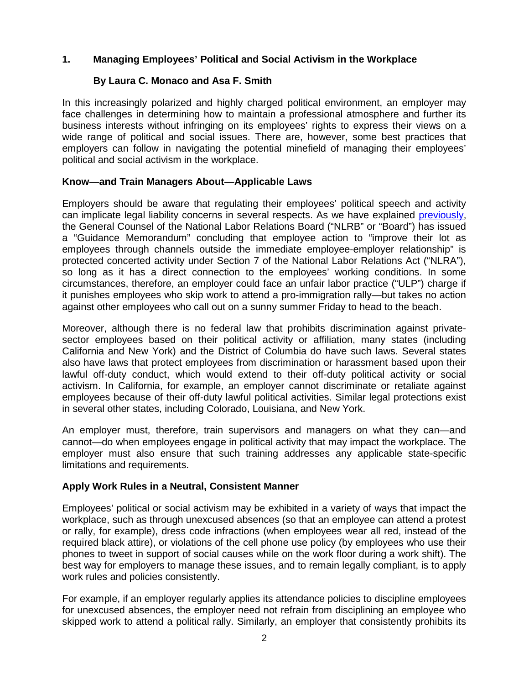## <span id="page-1-0"></span>**[1. Managing Employees' Political and Social Activism in the Workplace](#page-0-0)**

## **By Laura C. Monaco and Asa F. Smith**

In this increasingly polarized and highly charged political environment, an employer may face challenges in determining how to maintain a professional atmosphere and further its business interests without infringing on its employees' rights to express their views on a wide range of political and social issues. There are, however, some best practices that employers can follow in navigating the potential minefield of managing their employees' political and social activism in the workplace.

### **Know—and Train Managers About—Applicable Laws**

Employers should be aware that regulating their employees' political speech and activity can implicate legal liability concerns in several respects. As we have explained [previously,](http://www.managementmemo.com/2017/02/15/f17-and-the-general-strike-movement-best-practices-for-addressing-political-activity-in-the-workplace/) the General Counsel of the National Labor Relations Board ("NLRB" or "Board") has issued a "Guidance Memorandum" concluding that employee action to "improve their lot as employees through channels outside the immediate employee-employer relationship" is protected concerted activity under Section 7 of the National Labor Relations Act ("NLRA"), so long as it has a direct connection to the employees' working conditions. In some circumstances, therefore, an employer could face an unfair labor practice ("ULP") charge if it punishes employees who skip work to attend a pro-immigration rally—but takes no action against other employees who call out on a sunny summer Friday to head to the beach.

Moreover, although there is no federal law that prohibits discrimination against privatesector employees based on their political activity or affiliation, many states (including California and New York) and the District of Columbia do have such laws. Several states also have laws that protect employees from discrimination or harassment based upon their lawful off-duty conduct, which would extend to their off-duty political activity or social activism. In California, for example, an employer cannot discriminate or retaliate against employees because of their off-duty lawful political activities. Similar legal protections exist in several other states, including Colorado, Louisiana, and New York.

An employer must, therefore, train supervisors and managers on what they can—and cannot—do when employees engage in political activity that may impact the workplace. The employer must also ensure that such training addresses any applicable state-specific limitations and requirements.

### **Apply Work Rules in a Neutral, Consistent Manner**

Employees' political or social activism may be exhibited in a variety of ways that impact the workplace, such as through unexcused absences (so that an employee can attend a protest or rally, for example), dress code infractions (when employees wear all red, instead of the required black attire), or violations of the cell phone use policy (by employees who use their phones to tweet in support of social causes while on the work floor during a work shift). The best way for employers to manage these issues, and to remain legally compliant, is to apply work rules and policies consistently.

For example, if an employer regularly applies its attendance policies to discipline employees for unexcused absences, the employer need not refrain from disciplining an employee who skipped work to attend a political rally. Similarly, an employer that consistently prohibits its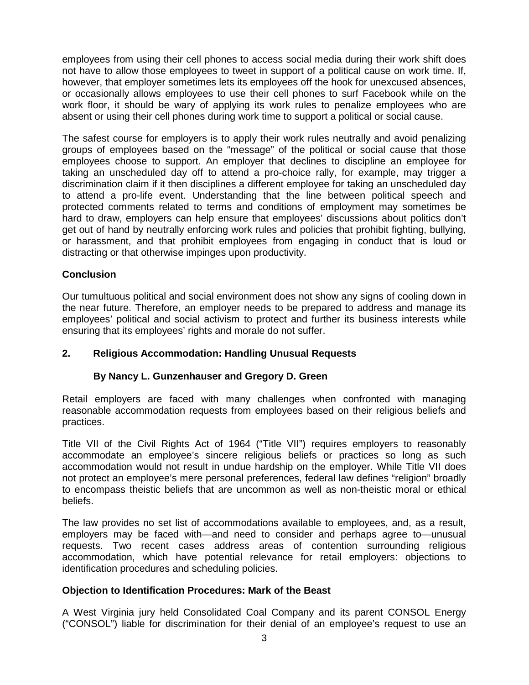<span id="page-2-0"></span>employees from using their cell phones to access social media during their work shift does not have to allow those employees to tweet in support of a political cause on work time. If, however, that employer sometimes lets its employees off the hook for unexcused absences, or occasionally allows employees to use their cell phones to surf Facebook while on the work floor, it should be wary of applying its work rules to penalize employees who are absent or using their cell phones during work time to support a political or social cause.

The safest course for employers is to apply their work rules neutrally and avoid penalizing groups of employees based on the "message" of the political or social cause that those employees choose to support. An employer that declines to discipline an employee for taking an unscheduled day off to attend a pro-choice rally, for example, may trigger a discrimination claim if it then disciplines a different employee for taking an unscheduled day to attend a pro-life event. Understanding that the line between political speech and protected comments related to terms and conditions of employment may sometimes be hard to draw, employers can help ensure that employees' discussions about politics don't get out of hand by neutrally enforcing work rules and policies that prohibit fighting, bullying, or harassment, and that prohibit employees from engaging in conduct that is loud or distracting or that otherwise impinges upon productivity.

## **Conclusion**

Our tumultuous political and social environment does not show any signs of cooling down in the near future. Therefore, an employer needs to be prepared to address and manage its employees' political and social activism to protect and further its business interests while ensuring that its employees' rights and morale do not suffer.

## **[2. Religious Accommodation: Handling Unusual Requests](#page-0-0)**

### **By Nancy L. Gunzenhauser and Gregory D. Green**

Retail employers are faced with many challenges when confronted with managing reasonable accommodation requests from employees based on their religious beliefs and practices.

Title VII of the Civil Rights Act of 1964 ("Title VII") requires employers to reasonably accommodate an employee's sincere religious beliefs or practices so long as such accommodation would not result in undue hardship on the employer. While Title VII does not protect an employee's mere personal preferences, federal law defines "religion" broadly to encompass theistic beliefs that are uncommon as well as non-theistic moral or ethical beliefs.

The law provides no set list of accommodations available to employees, and, as a result, employers may be faced with—and need to consider and perhaps agree to—unusual requests. Two recent cases address areas of contention surrounding religious accommodation, which have potential relevance for retail employers: objections to identification procedures and scheduling policies.

### **Objection to Identification Procedures: Mark of the Beast**

A West Virginia jury held Consolidated Coal Company and its parent CONSOL Energy ("CONSOL") liable for discrimination for their denial of an employee's request to use an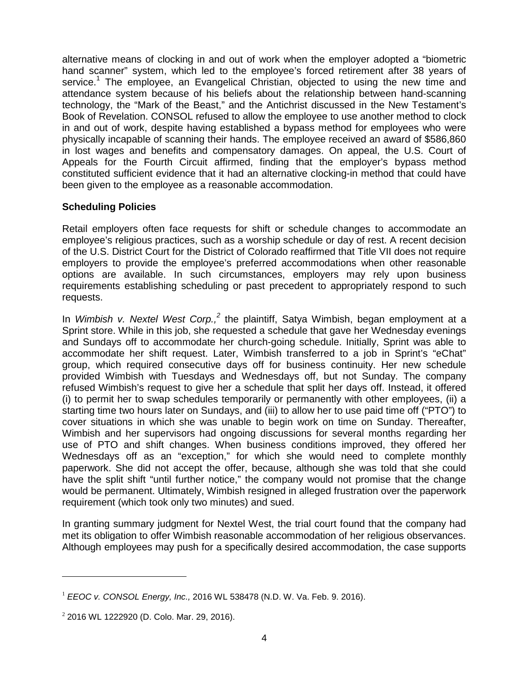alternative means of clocking in and out of work when the employer adopted a "biometric hand scanner" system, which led to the employee's forced retirement after 38 years of service.<sup>[1](#page-3-0)</sup> The employee, an Evangelical Christian, objected to using the new time and attendance system because of his beliefs about the relationship between hand-scanning technology, the "Mark of the Beast," and the Antichrist discussed in the New Testament's Book of Revelation. CONSOL refused to allow the employee to use another method to clock in and out of work, despite having established a bypass method for employees who were physically incapable of scanning their hands. The employee received an award of \$586,860 in lost wages and benefits and compensatory damages. On appeal, the U.S. Court of Appeals for the Fourth Circuit affirmed, finding that the employer's bypass method constituted sufficient evidence that it had an alternative clocking-in method that could have been given to the employee as a reasonable accommodation.

## **Scheduling Policies**

Retail employers often face requests for shift or schedule changes to accommodate an employee's religious practices, such as a worship schedule or day of rest. A recent decision of the U.S. District Court for the District of Colorado reaffirmed that Title VII does not require employers to provide the employee's preferred accommodations when other reasonable options are available. In such circumstances, employers may rely upon business requirements establishing scheduling or past precedent to appropriately respond to such requests.

In *Wimbish v. Nextel West Corp.,[2](#page-3-1)* the plaintiff, Satya Wimbish, began employment at a Sprint store. While in this job, she requested a schedule that gave her Wednesday evenings and Sundays off to accommodate her church-going schedule. Initially, Sprint was able to accommodate her shift request. Later, Wimbish transferred to a job in Sprint's "eChat" group, which required consecutive days off for business continuity. Her new schedule provided Wimbish with Tuesdays and Wednesdays off, but not Sunday. The company refused Wimbish's request to give her a schedule that split her days off. Instead, it offered (i) to permit her to swap schedules temporarily or permanently with other employees, (ii) a starting time two hours later on Sundays, and (iii) to allow her to use paid time off ("PTO") to cover situations in which she was unable to begin work on time on Sunday. Thereafter, Wimbish and her supervisors had ongoing discussions for several months regarding her use of PTO and shift changes. When business conditions improved, they offered her Wednesdays off as an "exception," for which she would need to complete monthly paperwork. She did not accept the offer, because, although she was told that she could have the split shift "until further notice," the company would not promise that the change would be permanent. Ultimately, Wimbish resigned in alleged frustration over the paperwork requirement (which took only two minutes) and sued.

In granting summary judgment for Nextel West, the trial court found that the company had met its obligation to offer Wimbish reasonable accommodation of her religious observances. Although employees may push for a specifically desired accommodation, the case supports

<span id="page-3-0"></span><sup>1</sup> *EEOC v. CONSOL Energy, Inc.,* 2016 WL 538478 (N.D. W. Va. Feb. 9. 2016).

<span id="page-3-1"></span><sup>&</sup>lt;sup>2</sup> 2016 WL 1222920 (D. Colo. Mar. 29, 2016).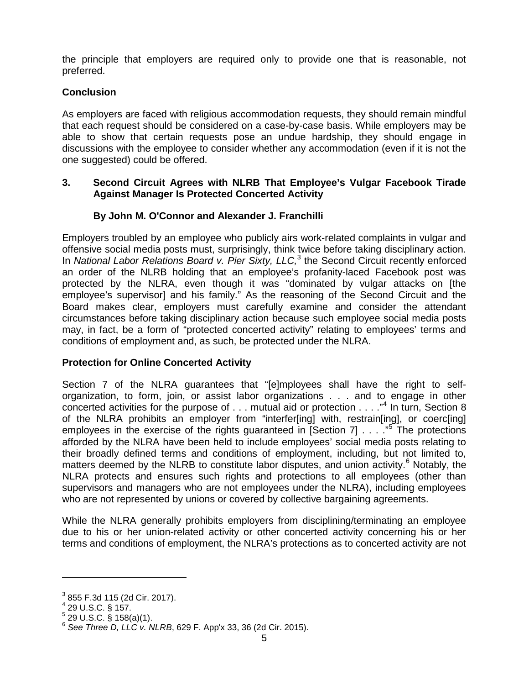<span id="page-4-0"></span>the principle that employers are required only to provide one that is reasonable, not preferred.

## **Conclusion**

As employers are faced with religious accommodation requests, they should remain mindful that each request should be considered on a case-by-case basis. While employers may be able to show that certain requests pose an undue hardship, they should engage in discussions with the employee to consider whether any accommodation (even if it is not the one suggested) could be offered.

### **[3. Second Circuit Agrees with NLRB That Employee's Vulgar Facebook Tirade](#page-0-0) Against Manager Is Protected Concerted Activity**

## **By John M. O'Connor and Alexander J. Franchilli**

Employers troubled by an employee who publicly airs work-related complaints in vulgar and offensive social media posts must, surprisingly, think twice before taking disciplinary action. In *National Labor Relations Board v. Pier Sixty, LLC*,<sup>[3](#page-4-1)</sup> the Second Circuit recently enforced an order of the NLRB holding that an employee's profanity-laced Facebook post was protected by the NLRA, even though it was "dominated by vulgar attacks on [the employee's supervisor] and his family." As the reasoning of the Second Circuit and the Board makes clear, employers must carefully examine and consider the attendant circumstances before taking disciplinary action because such employee social media posts may, in fact, be a form of "protected concerted activity" relating to employees' terms and conditions of employment and, as such, be protected under the NLRA.

### **Protection for Online Concerted Activity**

Section 7 of the NLRA guarantees that "[e]mployees shall have the right to selforganization, to form, join, or assist labor organizations . . . and to engage in other concertedactivities for the purpose of . . . mutual aid or protection . . . . ["](#page-4-2)<sup>4</sup> In turn, Section 8 of the NLRA prohibits an employer from "interfer[ing] with, restrain[ing], or coerc[ing] employeesin the exercise of the rights guaranteed in [Section 7] . . . .<sup>"5</sup> The protections afforded by the NLRA have been held to include employees' social media posts relating to their broadly defined terms and conditions of employment, including, but not limited to, matters deemed by the NLRB to constitute labor disputes, and union activity.<sup>[6](#page-4-4)</sup> Notably, the NLRA protects and ensures such rights and protections to all employees (other than supervisors and managers who are not employees under the NLRA), including employees who are not represented by unions or covered by collective bargaining agreements.

While the NLRA generally prohibits employers from disciplining/terminating an employee due to his or her union-related activity or other concerted activity concerning his or her terms and conditions of employment, the NLRA's protections as to concerted activity are not

<span id="page-4-2"></span><span id="page-4-1"></span> $3$  855 F.3d 115 (2d Cir. 2017).

 $^{4}$  29 U.S.C. § 157.

<span id="page-4-3"></span> $5$  29 U.S.C. § 158(a)(1).

<span id="page-4-4"></span><sup>6</sup> *See Three D, LLC v. NLRB*, 629 F. App'x 33, 36 (2d Cir. 2015).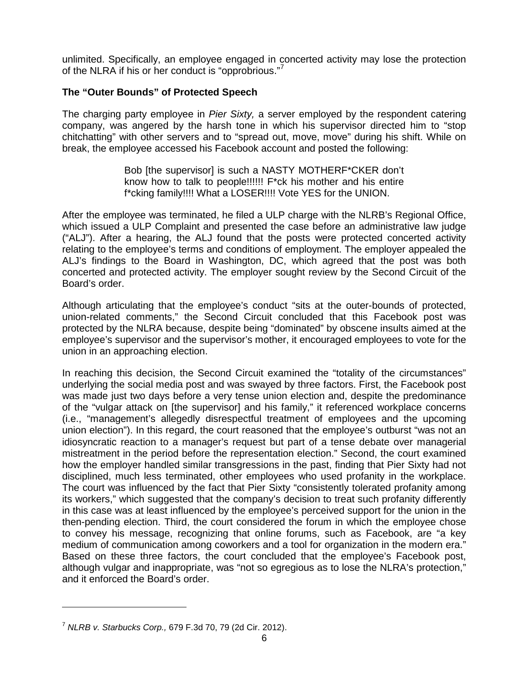unlimited. Specifically, an employee engaged in concerted activity may lose the protection of the NLRA if his or her conduct is "opprobrious."<sup>7</sup>

## **The "Outer Bounds" of Protected Speech**

The charging party employee in *Pier Sixty,* a server employed by the respondent catering company, was angered by the harsh tone in which his supervisor directed him to "stop chitchatting" with other servers and to "spread out, move, move" during his shift. While on break, the employee accessed his Facebook account and posted the following:

> Bob [the supervisor] is such a NASTY MOTHERF\*CKER don't know how to talk to people!!!!!! F\*ck his mother and his entire f\*cking family!!!! What a LOSER!!!! Vote YES for the UNION.

After the employee was terminated, he filed a ULP charge with the NLRB's Regional Office, which issued a ULP Complaint and presented the case before an administrative law judge ("ALJ"). After a hearing, the ALJ found that the posts were protected concerted activity relating to the employee's terms and conditions of employment. The employer appealed the ALJ's findings to the Board in Washington, DC, which agreed that the post was both concerted and protected activity. The employer sought review by the Second Circuit of the Board's order.

Although articulating that the employee's conduct "sits at the outer-bounds of protected, union-related comments," the Second Circuit concluded that this Facebook post was protected by the NLRA because, despite being "dominated" by obscene insults aimed at the employee's supervisor and the supervisor's mother, it encouraged employees to vote for the union in an approaching election.

In reaching this decision, the Second Circuit examined the "totality of the circumstances" underlying the social media post and was swayed by three factors. First, the Facebook post was made just two days before a very tense union election and, despite the predominance of the "vulgar attack on [the supervisor] and his family," it referenced workplace concerns (i.e., "management's allegedly disrespectful treatment of employees and the upcoming union election"). In this regard, the court reasoned that the employee's outburst "was not an idiosyncratic reaction to a manager's request but part of a tense debate over managerial mistreatment in the period before the representation election." Second, the court examined how the employer handled similar transgressions in the past, finding that Pier Sixty had not disciplined, much less terminated, other employees who used profanity in the workplace. The court was influenced by the fact that Pier Sixty "consistently tolerated profanity among its workers," which suggested that the company's decision to treat such profanity differently in this case was at least influenced by the employee's perceived support for the union in the then-pending election. Third, the court considered the forum in which the employee chose to convey his message, recognizing that online forums, such as Facebook, are "a key medium of communication among coworkers and a tool for organization in the modern era." Based on these three factors, the court concluded that the employee's Facebook post, although vulgar and inappropriate, was "not so egregious as to lose the NLRA's protection," and it enforced the Board's order.

<sup>7</sup> *NLRB v. Starbucks Corp.,* 679 F.3d 70, 79 (2d Cir. 2012).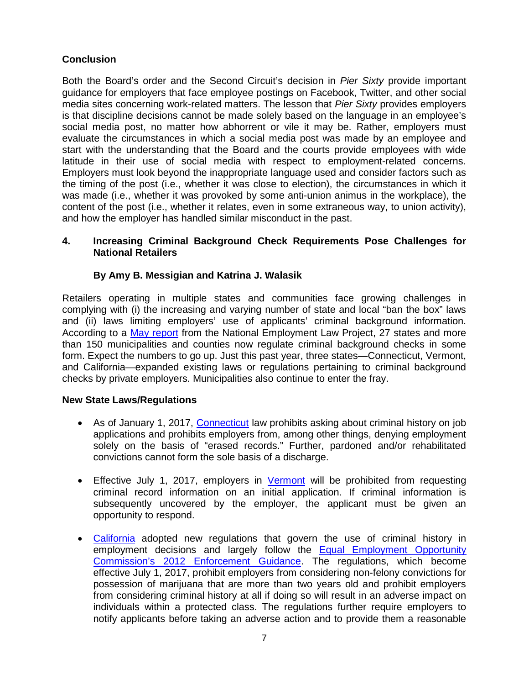## <span id="page-6-0"></span>**Conclusion**

Both the Board's order and the Second Circuit's decision in *Pier Sixty* provide important guidance for employers that face employee postings on Facebook, Twitter, and other social media sites concerning work-related matters. The lesson that *Pier Sixty* provides employers is that discipline decisions cannot be made solely based on the language in an employee's social media post, no matter how abhorrent or vile it may be. Rather, employers must evaluate the circumstances in which a social media post was made by an employee and start with the understanding that the Board and the courts provide employees with wide latitude in their use of social media with respect to employment-related concerns. Employers must look beyond the inappropriate language used and consider factors such as the timing of the post (i.e., whether it was close to election), the circumstances in which it was made (i.e., whether it was provoked by some anti-union animus in the workplace), the content of the post (i.e., whether it relates, even in some extraneous way, to union activity), and how the employer has handled similar misconduct in the past.

## **[4. Increasing Criminal Background Check Requirements Pose Challenges for](#page-0-0) National Retailers**

## **By Amy B. Messigian and Katrina J. Walasik**

Retailers operating in multiple states and communities face growing challenges in complying with (i) the increasing and varying number of state and local "ban the box" laws and (ii) laws limiting employers' use of applicants' criminal background information. According to a [May report](http://www.nelp.org/publication/ban-the-box-fair-chance-hiring-state-and-local-guide/) from the National Employment Law Project, 27 states and more than 150 municipalities and counties now regulate criminal background checks in some form. Expect the numbers to go up. Just this past year, three states—Connecticut, Vermont, and California—expanded existing laws or regulations pertaining to criminal background checks by private employers. Municipalities also continue to enter the fray.

## **New State Laws/Regulations**

- As of January 1, 2017, [Connecticut](https://www.cga.ct.gov/asp/cgabillstatus/cgabillstatus.asp?selBillType=Bill&which_year=2016&bill_num=HB5237) law prohibits asking about criminal history on job applications and prohibits employers from, among other things, denying employment solely on the basis of "erased records." Further, pardoned and/or rehabilitated convictions cannot form the sole basis of a discharge.
- Effective July 1, 2017, employers in [Vermont](http://legislature.vermont.gov/bill/status/2016/H.261) will be prohibited from requesting criminal record information on an initial application. If criminal information is subsequently uncovered by the employer, the applicant must be given an opportunity to respond.
- [California](http://leginfo.legislature.ca.gov/faces/billNavClient.xhtml?bill_id=201720180AB1008) adopted new regulations that govern the use of criminal history in employment decisions and largely follow the [Equal Employment Opportunity](https://www.eeoc.gov/laws/guidance/arrest_conviction.cfm) [Commission's 2012 Enforcement Guidance. The regulations, which become](https://www.eeoc.gov/laws/guidance/arrest_conviction.cfm) effective July 1, 2017, prohibit employers from considering non-felony convictions for possession of marijuana that are more than two years old and prohibit employers from considering criminal history at all if doing so will result in an adverse impact on individuals within a protected class. The regulations further require employers to notify applicants before taking an adverse action and to provide them a reasonable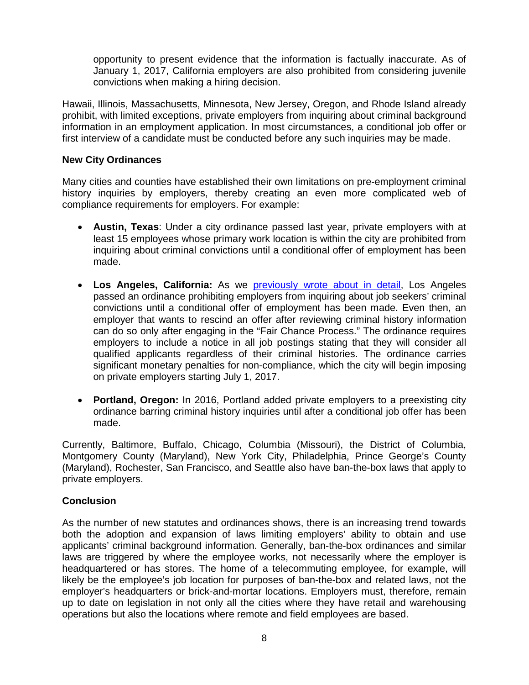opportunity to present evidence that the information is factually inaccurate. As of January 1, 2017, California employers are also prohibited from considering juvenile convictions when making a hiring decision.

Hawaii, Illinois, Massachusetts, Minnesota, New Jersey, Oregon, and Rhode Island already prohibit, with limited exceptions, private employers from inquiring about criminal background information in an employment application. In most circumstances, a conditional job offer or first interview of a candidate must be conducted before any such inquiries may be made.

## **New City Ordinances**

Many cities and counties have established their own limitations on pre-employment criminal history inquiries by employers, thereby creating an even more complicated web of compliance requirements for employers. For example:

- **Austin, Texas**: Under a city ordinance passed last year, private employers with at least 15 employees whose primary work location is within the city are prohibited from inquiring about criminal convictions until a conditional offer of employment has been made.
- **Los Angeles, California:** As we [previously wrote about in detail,](http://www.ebglaw.com/news/california-employers-time-to-gear-up-for-2017/) Los Angeles passed an ordinance prohibiting employers from inquiring about job seekers' criminal convictions until a conditional offer of employment has been made. Even then, an employer that wants to rescind an offer after reviewing criminal history information can do so only after engaging in the "Fair Chance Process." The ordinance requires employers to include a notice in all job postings stating that they will consider all qualified applicants regardless of their criminal histories. The ordinance carries significant monetary penalties for non-compliance, which the city will begin imposing on private employers starting July 1, 2017.
- **Portland, Oregon:** In 2016, Portland added private employers to a preexisting city ordinance barring criminal history inquiries until after a conditional job offer has been made.

Currently, Baltimore, Buffalo, Chicago, Columbia (Missouri), the District of Columbia, Montgomery County (Maryland), New York City, Philadelphia, Prince George's County (Maryland), Rochester, San Francisco, and Seattle also have ban-the-box laws that apply to private employers.

### **Conclusion**

As the number of new statutes and ordinances shows, there is an increasing trend towards both the adoption and expansion of laws limiting employers' ability to obtain and use applicants' criminal background information. Generally, ban-the-box ordinances and similar laws are triggered by where the employee works, not necessarily where the employer is headquartered or has stores. The home of a telecommuting employee, for example, will likely be the employee's job location for purposes of ban-the-box and related laws, not the employer's headquarters or brick-and-mortar locations. Employers must, therefore, remain up to date on legislation in not only all the cities where they have retail and warehousing operations but also the locations where remote and field employees are based.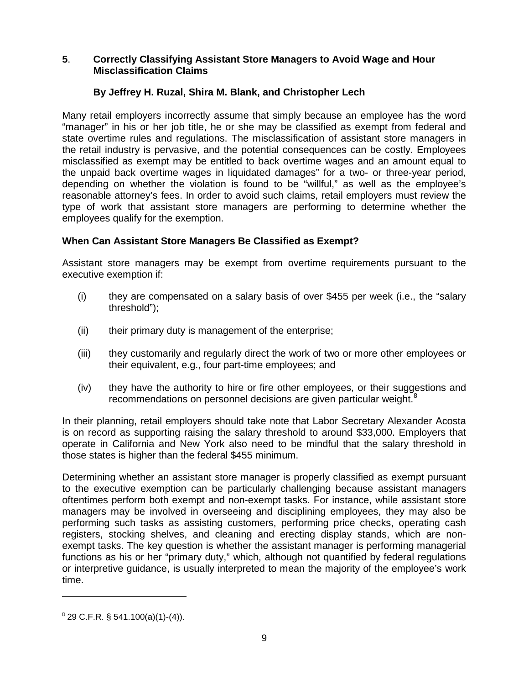## <span id="page-8-0"></span>**5**. **[Correctly Classifying Assistant Store Managers to Avoid Wage and Hour](#page-0-0) Misclassification Claims**

## **By Jeffrey H. Ruzal, Shira M. Blank, and Christopher Lech**

Many retail employers incorrectly assume that simply because an employee has the word "manager" in his or her job title, he or she may be classified as exempt from federal and state overtime rules and regulations. The misclassification of assistant store managers in the retail industry is pervasive, and the potential consequences can be costly. Employees misclassified as exempt may be entitled to back overtime wages and an amount equal to the unpaid back overtime wages in liquidated damages" for a two- or three-year period, depending on whether the violation is found to be "willful," as well as the employee's reasonable attorney's fees. In order to avoid such claims, retail employers must review the type of work that assistant store managers are performing to determine whether the employees qualify for the exemption.

## **When Can Assistant Store Managers Be Classified as Exempt?**

Assistant store managers may be exempt from overtime requirements pursuant to the executive exemption if:

- (i) they are compensated on a salary basis of over \$455 per week (i.e., the "salary threshold");
- (ii) their primary duty is management of the enterprise;
- (iii) they customarily and regularly direct the work of two or more other employees or their equivalent, e.g., four part-time employees; and
- (iv) they have the authority to hire or fire other employees, or theirsugg[es](#page-8-1)tions and recommendations on personnel decisions are given particular weight.<sup>8</sup>

In their planning, retail employers should take note that Labor Secretary Alexander Acosta is on record as supporting raising the salary threshold to around \$33,000. Employers that operate in California and New York also need to be mindful that the salary threshold in those states is higher than the federal \$455 minimum.

Determining whether an assistant store manager is properly classified as exempt pursuant to the executive exemption can be particularly challenging because assistant managers oftentimes perform both exempt and non-exempt tasks. For instance, while assistant store managers may be involved in overseeing and disciplining employees, they may also be performing such tasks as assisting customers, performing price checks, operating cash registers, stocking shelves, and cleaning and erecting display stands, which are nonexempt tasks. The key question is whether the assistant manager is performing managerial functions as his or her "primary duty," which, although not quantified by federal regulations or interpretive guidance, is usually interpreted to mean the majority of the employee's work time.

<span id="page-8-1"></span> $8^8$  29 C.F.R. § 541.100(a)(1)-(4)).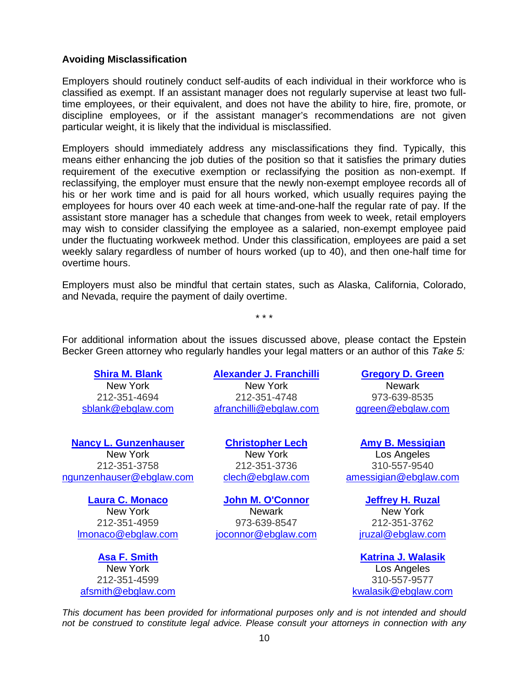#### **Avoiding Misclassification**

Employers should routinely conduct self-audits of each individual in their workforce who is classified as exempt. If an assistant manager does not regularly supervise at least two fulltime employees, or their equivalent, and does not have the ability to hire, fire, promote, or discipline employees, or if the assistant manager's recommendations are not given particular weight, it is likely that the individual is misclassified.

Employers should immediately address any misclassifications they find. Typically, this means either enhancing the job duties of the position so that it satisfies the primary duties requirement of the executive exemption or reclassifying the position as non-exempt. If reclassifying, the employer must ensure that the newly non-exempt employee records all of his or her work time and is paid for all hours worked, which usually requires paying the employees for hours over 40 each week at time-and-one-half the regular rate of pay. If the assistant store manager has a schedule that changes from week to week, retail employers may wish to consider classifying the employee as a salaried, non-exempt employee paid under the fluctuating workweek method. Under this classification, employees are paid a set weekly salary regardless of number of hours worked (up to 40), and then one-half time for overtime hours.

Employers must also be mindful that certain states, such as Alaska, California, Colorado, and Nevada, require the payment of daily overtime.

\* \* \*

For additional information about the issues discussed above, please contact the Epstein Becker Green attorney who regularly handles your legal matters or an author of this *Take 5:*

**[Shira M. Blank](http://www.ebglaw.com/shira-m-blank/)**

New York 212-351-4694 [sblank@ebglaw.com](mailto:sblank@ebglaw.com)

**[Nancy L. Gunzenhauser](http://www.ebglaw.com/nancy-l-gunzenhauser/)** New York 212-351-3758 [ngunzenhauser@ebglaw.com](mailto:ngunzenhauser@ebglaw.com)

**[Laura C. Monaco](http://www.ebglaw.com/laura-c-monaco/)** New York 212-351-4959 [lmonaco@ebglaw.com](mailto:lmonaco@ebglaw.com)

**[Asa F. Smith](http://www.ebglaw.com/asa-f-smith/)** New York 212-351-4599 [afsmith@ebglaw.com](mailto:afsmith@ebglaw.com)

## **[Alexander J. Franchilli](http://www.ebglaw.com/alexander-j-franchilli/)**

New York 212-351-4748 [afranchilli@ebglaw.com](mailto:afranchilli@ebglaw.com)

**[Christopher Lech](http://www.ebglaw.com/christopher-lech/)** New York 212-351-3736 [clech@ebglaw.com](mailto:clech@ebglaw.com)

**[John M. O'Connor](http://www.ebglaw.com/john-m-oconnor/)** Newark 973-639-8547 [joconnor@ebglaw.com](mailto:joconnor@ebglaw.com)

### **[Gregory D. Green](http://www.ebglaw.com/gregory-d-green/)**

Newark 973-639-8535 [ggreen@ebglaw.com](mailto:ggreen@ebglaw.com)

**[Amy B. Messigian](http://www.ebglaw.com/amy-b-messigian/)** Los Angeles 310-557-9540 [amessigian@ebglaw.com](mailto:amessigian@ebglaw.com)

> **[Jeffrey H. Ruzal](http://www.ebglaw.com/jeffrey-h-ruzal/)** New York 212-351-3762 [jruzal@ebglaw.com](mailto:jruzal@ebglaw.com)

**[Katrina J. Walasik](http://www.ebglaw.com/katrina-j-walasik/)** Los Angeles 310-557-9577 [kwalasik@ebglaw.com](mailto:kwalasik@ebglaw.com)

*This document has been provided for informational purposes only and is not intended and should not be construed to constitute legal advice. Please consult your attorneys in connection with any*